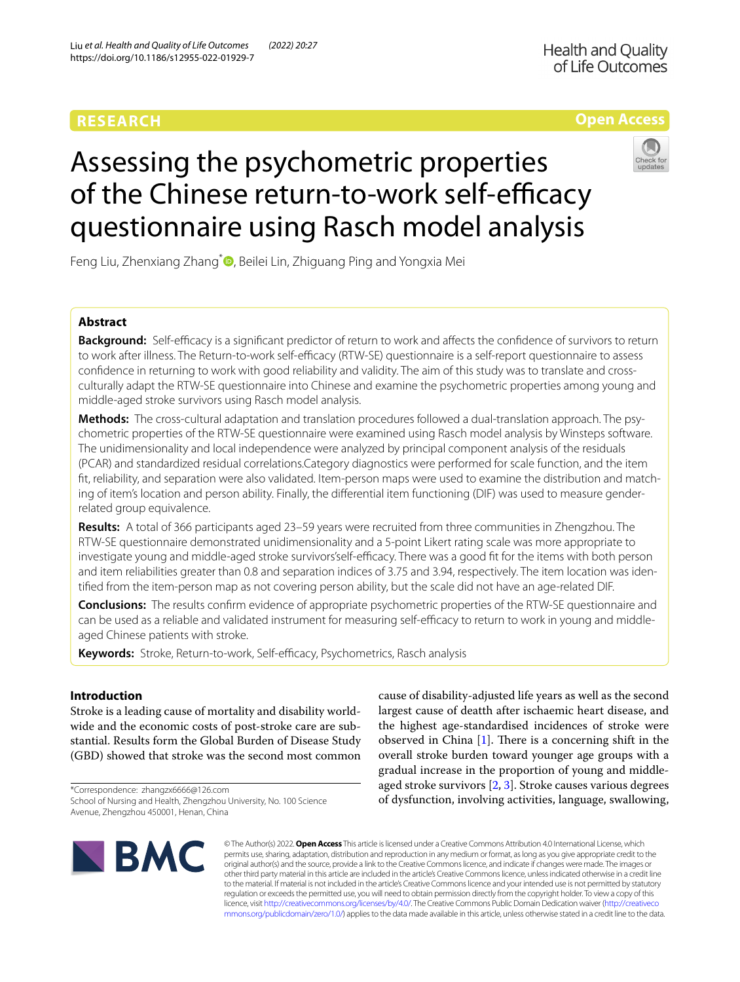# **RESEARCH**

# **Open Access**



# Assessing the psychometric properties of the Chinese return-to-work self-efficacy questionnaire using Rasch model analysis

Feng Liu[,](http://orcid.org/0000-0002-2696-7485) Zhenxiang Zhang<sup>\*</sup> , Beilei Lin, Zhiguang Ping and Yongxia Mei

# **Abstract**

**Background:** Self-efficacy is a significant predictor of return to work and affects the confidence of survivors to return to work after illness. The Return-to-work self-efficacy (RTW-SE) questionnaire is a self-report questionnaire to assess confdence in returning to work with good reliability and validity. The aim of this study was to translate and crossculturally adapt the RTW-SE questionnaire into Chinese and examine the psychometric properties among young and middle-aged stroke survivors using Rasch model analysis.

**Methods:** The cross-cultural adaptation and translation procedures followed a dual-translation approach. The psychometric properties of the RTW-SE questionnaire were examined using Rasch model analysis by Winsteps software. The unidimensionality and local independence were analyzed by principal component analysis of the residuals (PCAR) and standardized residual correlations.Category diagnostics were performed for scale function, and the item ft, reliability, and separation were also validated. Item-person maps were used to examine the distribution and matching of item's location and person ability. Finally, the diferential item functioning (DIF) was used to measure genderrelated group equivalence.

**Results:** A total of 366 participants aged 23–59 years were recruited from three communities in Zhengzhou. The RTW-SE questionnaire demonstrated unidimensionality and a 5-point Likert rating scale was more appropriate to investigate young and middle-aged stroke survivors'self-efficacy. There was a good fit for the items with both person and item reliabilities greater than 0.8 and separation indices of 3.75 and 3.94, respectively. The item location was identifed from the item-person map as not covering person ability, but the scale did not have an age-related DIF.

**Conclusions:** The results confrm evidence of appropriate psychometric properties of the RTW-SE questionnaire and can be used as a reliable and validated instrument for measuring self-efficacy to return to work in young and middleaged Chinese patients with stroke.

Keywords: Stroke, Return-to-work, Self-efficacy, Psychometrics, Rasch analysis

## **Introduction**

Stroke is a leading cause of mortality and disability worldwide and the economic costs of post-stroke care are substantial. Results form the Global Burden of Disease Study (GBD) showed that stroke was the second most common

\*Correspondence: zhangzx6666@126.com School of Nursing and Health, Zhengzhou University, No. 100 Science Avenue, Zhengzhou 450001, Henan, China

cause of disability-adjusted life years as well as the second largest cause of deatth after ischaemic heart disease, and the highest age-standardised incidences of stroke were observed in China  $[1]$  $[1]$ . There is a concerning shift in the overall stroke burden toward younger age groups with a gradual increase in the proportion of young and middleaged stroke survivors [\[2](#page-8-1), [3\]](#page-9-0). Stroke causes various degrees of dysfunction, involving activities, language, swallowing,



© The Author(s) 2022. **Open Access** This article is licensed under a Creative Commons Attribution 4.0 International License, which permits use, sharing, adaptation, distribution and reproduction in any medium or format, as long as you give appropriate credit to the original author(s) and the source, provide a link to the Creative Commons licence, and indicate if changes were made. The images or other third party material in this article are included in the article's Creative Commons licence, unless indicated otherwise in a credit line to the material. If material is not included in the article's Creative Commons licence and your intended use is not permitted by statutory regulation or exceeds the permitted use, you will need to obtain permission directly from the copyright holder. To view a copy of this licence, visit [http://creativecommons.org/licenses/by/4.0/.](http://creativecommons.org/licenses/by/4.0/) The Creative Commons Public Domain Dedication waiver ([http://creativeco](http://creativecommons.org/publicdomain/zero/1.0/) [mmons.org/publicdomain/zero/1.0/](http://creativecommons.org/publicdomain/zero/1.0/)) applies to the data made available in this article, unless otherwise stated in a credit line to the data.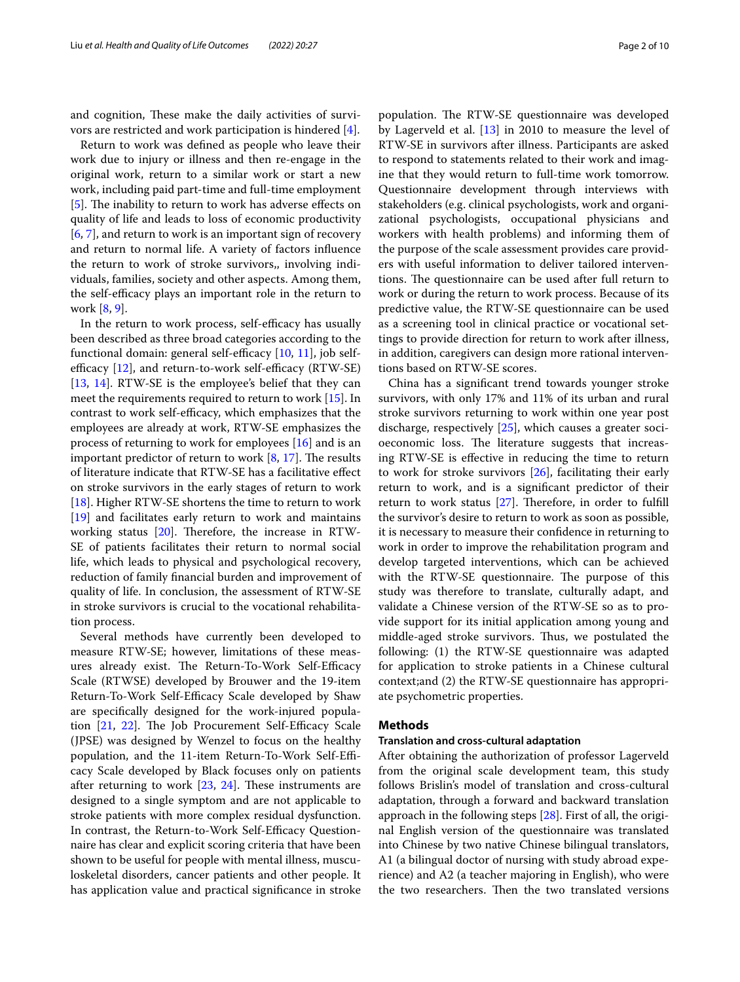and cognition, These make the daily activities of survivors are restricted and work participation is hindered [\[4](#page-9-1)].

Return to work was defned as people who leave their work due to injury or illness and then re-engage in the original work, return to a similar work or start a new work, including paid part-time and full-time employment [[5\]](#page-9-2). The inability to return to work has adverse effects on quality of life and leads to loss of economic productivity [[6,](#page-9-3) [7](#page-9-4)], and return to work is an important sign of recovery and return to normal life. A variety of factors infuence the return to work of stroke survivors,, involving individuals, families, society and other aspects. Among them, the self-efficacy plays an important role in the return to work [[8,](#page-9-5) [9](#page-9-6)].

In the return to work process, self-efficacy has usually been described as three broad categories according to the functional domain: general self-efficacy  $[10, 11]$  $[10, 11]$  $[10, 11]$  $[10, 11]$ , job selfefficacy  $[12]$  $[12]$ , and return-to-work self-efficacy  $(RTW-SE)$ [[13,](#page-9-10) [14](#page-9-11)]. RTW-SE is the employee's belief that they can meet the requirements required to return to work [\[15](#page-9-12)]. In contrast to work self-efficacy, which emphasizes that the employees are already at work, RTW-SE emphasizes the process of returning to work for employees [[16](#page-9-13)] and is an important predictor of return to work  $[8, 17]$  $[8, 17]$  $[8, 17]$  $[8, 17]$ . The results of literature indicate that RTW-SE has a facilitative efect on stroke survivors in the early stages of return to work [[18\]](#page-9-15). Higher RTW-SE shortens the time to return to work [[19\]](#page-9-16) and facilitates early return to work and maintains working status  $[20]$  $[20]$ . Therefore, the increase in RTW-SE of patients facilitates their return to normal social life, which leads to physical and psychological recovery, reduction of family fnancial burden and improvement of quality of life. In conclusion, the assessment of RTW-SE in stroke survivors is crucial to the vocational rehabilitation process.

Several methods have currently been developed to measure RTW-SE; however, limitations of these measures already exist. The Return-To-Work Self-Efficacy Scale (RTWSE) developed by Brouwer and the 19-item Return-To-Work Self-Efficacy Scale developed by Shaw are specifcally designed for the work-injured population  $[21, 22]$  $[21, 22]$  $[21, 22]$ . The Job Procurement Self-Efficacy Scale (JPSE) was designed by Wenzel to focus on the healthy population, and the 11-item Return-To-Work Self-Efficacy Scale developed by Black focuses only on patients after returning to work  $[23, 24]$  $[23, 24]$  $[23, 24]$  $[23, 24]$ . These instruments are designed to a single symptom and are not applicable to stroke patients with more complex residual dysfunction. In contrast, the Return-to-Work Self-Efficacy Questionnaire has clear and explicit scoring criteria that have been shown to be useful for people with mental illness, musculoskeletal disorders, cancer patients and other people. It has application value and practical signifcance in stroke

population. The RTW-SE questionnaire was developed by Lagerveld et al. [\[13](#page-9-10)] in 2010 to measure the level of RTW-SE in survivors after illness. Participants are asked to respond to statements related to their work and imagine that they would return to full-time work tomorrow. Questionnaire development through interviews with stakeholders (e.g. clinical psychologists, work and organizational psychologists, occupational physicians and workers with health problems) and informing them of the purpose of the scale assessment provides care providers with useful information to deliver tailored interventions. The questionnaire can be used after full return to work or during the return to work process. Because of its predictive value, the RTW-SE questionnaire can be used as a screening tool in clinical practice or vocational settings to provide direction for return to work after illness, in addition, caregivers can design more rational interventions based on RTW-SE scores.

China has a signifcant trend towards younger stroke survivors, with only 17% and 11% of its urban and rural stroke survivors returning to work within one year post discharge, respectively [[25](#page-9-22)], which causes a greater socioeconomic loss. The literature suggests that increasing RTW-SE is efective in reducing the time to return to work for stroke survivors [[26\]](#page-9-23), facilitating their early return to work, and is a signifcant predictor of their return to work status [\[27\]](#page-9-24). Therefore, in order to fulfill the survivor's desire to return to work as soon as possible, it is necessary to measure their confdence in returning to work in order to improve the rehabilitation program and develop targeted interventions, which can be achieved with the RTW-SE questionnaire. The purpose of this study was therefore to translate, culturally adapt, and validate a Chinese version of the RTW-SE so as to provide support for its initial application among young and middle-aged stroke survivors. Thus, we postulated the following: (1) the RTW-SE questionnaire was adapted for application to stroke patients in a Chinese cultural context;and (2) the RTW-SE questionnaire has appropriate psychometric properties.

## **Methods**

## **Translation and cross‑cultural adaptation**

After obtaining the authorization of professor Lagerveld from the original scale development team, this study follows Brislin's model of translation and cross-cultural adaptation, through a forward and backward translation approach in the following steps [[28](#page-9-25)]. First of all, the original English version of the questionnaire was translated into Chinese by two native Chinese bilingual translators, A1 (a bilingual doctor of nursing with study abroad experience) and A2 (a teacher majoring in English), who were the two researchers. Then the two translated versions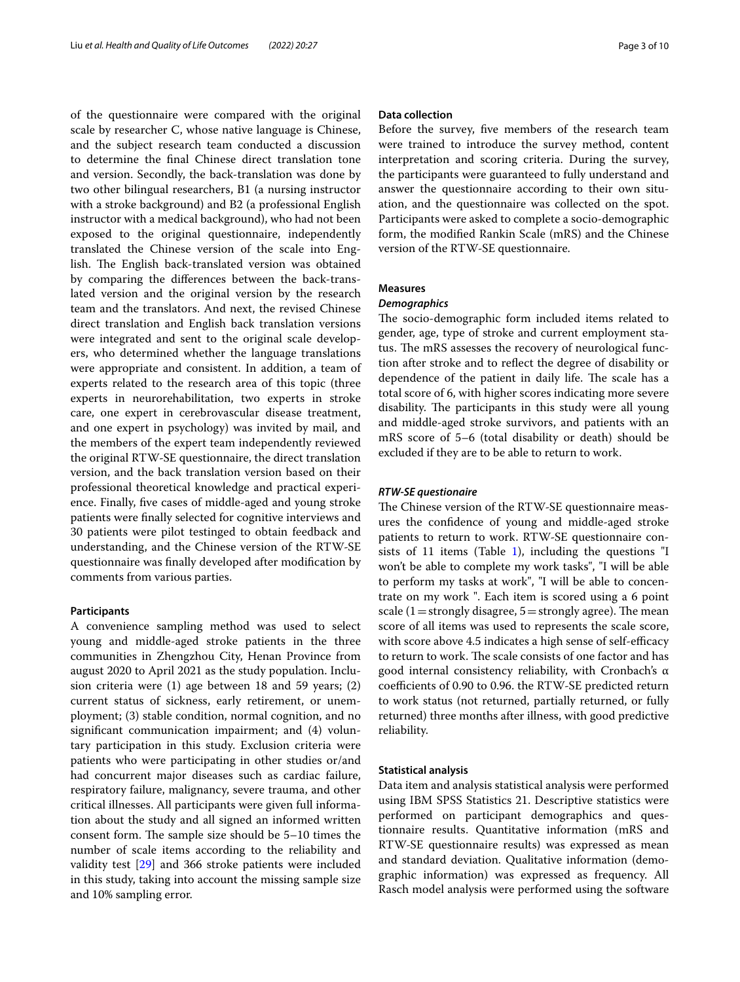of the questionnaire were compared with the original scale by researcher C, whose native language is Chinese, and the subject research team conducted a discussion to determine the fnal Chinese direct translation tone and version. Secondly, the back-translation was done by two other bilingual researchers, B1 (a nursing instructor with a stroke background) and B2 (a professional English instructor with a medical background), who had not been exposed to the original questionnaire, independently translated the Chinese version of the scale into English. The English back-translated version was obtained by comparing the diferences between the back-translated version and the original version by the research team and the translators. And next, the revised Chinese direct translation and English back translation versions were integrated and sent to the original scale developers, who determined whether the language translations were appropriate and consistent. In addition, a team of experts related to the research area of this topic (three experts in neurorehabilitation, two experts in stroke care, one expert in cerebrovascular disease treatment, and one expert in psychology) was invited by mail, and the members of the expert team independently reviewed the original RTW-SE questionnaire, the direct translation version, and the back translation version based on their professional theoretical knowledge and practical experience. Finally, fve cases of middle-aged and young stroke patients were fnally selected for cognitive interviews and 30 patients were pilot testinged to obtain feedback and understanding, and the Chinese version of the RTW-SE questionnaire was fnally developed after modifcation by comments from various parties.

#### **Participants**

A convenience sampling method was used to select young and middle-aged stroke patients in the three communities in Zhengzhou City, Henan Province from august 2020 to April 2021 as the study population. Inclusion criteria were (1) age between 18 and 59 years; (2) current status of sickness, early retirement, or unemployment; (3) stable condition, normal cognition, and no signifcant communication impairment; and (4) voluntary participation in this study. Exclusion criteria were patients who were participating in other studies or/and had concurrent major diseases such as cardiac failure, respiratory failure, malignancy, severe trauma, and other critical illnesses. All participants were given full information about the study and all signed an informed written consent form. The sample size should be  $5-10$  times the number of scale items according to the reliability and validity test [\[29\]](#page-9-26) and 366 stroke patients were included in this study, taking into account the missing sample size and 10% sampling error.

## **Data collection**

Before the survey, fve members of the research team were trained to introduce the survey method, content interpretation and scoring criteria. During the survey, the participants were guaranteed to fully understand and answer the questionnaire according to their own situation, and the questionnaire was collected on the spot. Participants were asked to complete a socio-demographic form, the modifed Rankin Scale (mRS) and the Chinese version of the RTW-SE questionnaire.

## **Measures**

## *Demographics*

The socio-demographic form included items related to gender, age, type of stroke and current employment status. The mRS assesses the recovery of neurological function after stroke and to refect the degree of disability or dependence of the patient in daily life. The scale has a total score of 6, with higher scores indicating more severe disability. The participants in this study were all young and middle-aged stroke survivors, and patients with an mRS score of 5–6 (total disability or death) should be excluded if they are to be able to return to work.

#### *RTW‑SE questionaire*

The Chinese version of the RTW-SE questionnaire measures the confdence of young and middle-aged stroke patients to return to work. RTW-SE questionnaire con-sists of 11 items (Table [1\)](#page-3-0), including the questions  $\mathbb{I}$ won't be able to complete my work tasks", "I will be able to perform my tasks at work", "I will be able to concentrate on my work ". Each item is scored using a 6 point scale (1 = strongly disagree,  $5 =$  strongly agree). The mean score of all items was used to represents the scale score, with score above 4.5 indicates a high sense of self-efficacy to return to work. The scale consists of one factor and has good internal consistency reliability, with Cronbach's α coefficients of 0.90 to 0.96. the RTW-SE predicted return to work status (not returned, partially returned, or fully returned) three months after illness, with good predictive reliability.

## **Statistical analysis**

Data item and analysis statistical analysis were performed using IBM SPSS Statistics 21. Descriptive statistics were performed on participant demographics and questionnaire results. Quantitative information (mRS and RTW-SE questionnaire results) was expressed as mean and standard deviation. Qualitative information (demographic information) was expressed as frequency. All Rasch model analysis were performed using the software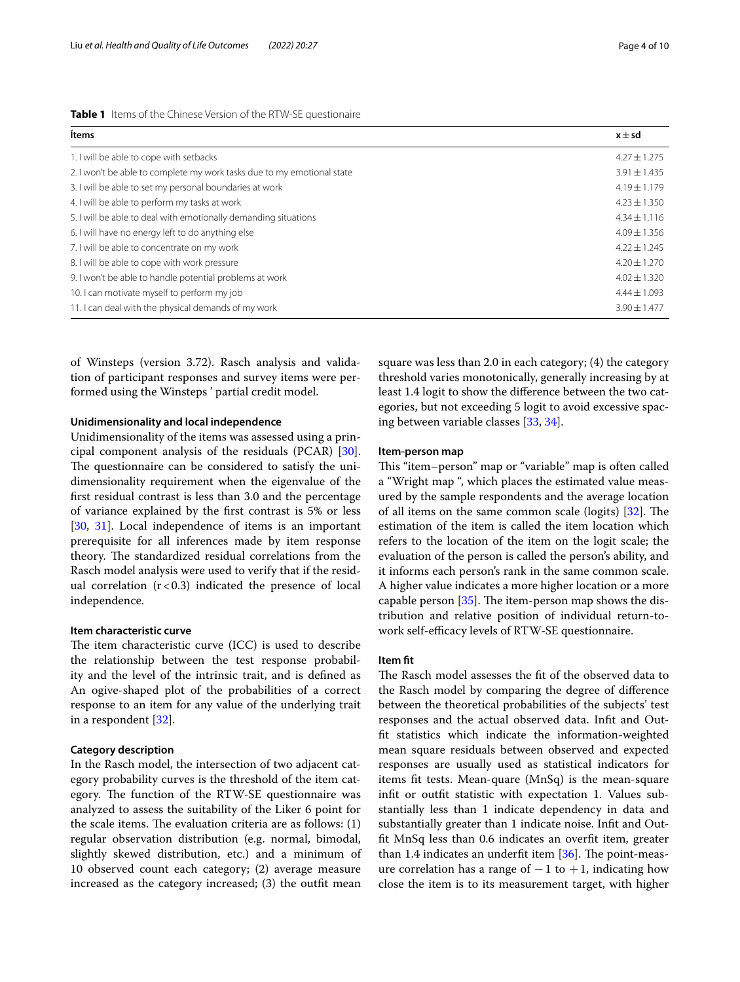<span id="page-3-0"></span>

|  |  |  |  |  |  | Table 1 Items of the Chinese Version of the RTW-SE questionaire |
|--|--|--|--|--|--|-----------------------------------------------------------------|
|--|--|--|--|--|--|-----------------------------------------------------------------|

| Ítems                                                                  | $x \pm sd$       |
|------------------------------------------------------------------------|------------------|
| 1. I will be able to cope with setbacks                                | $4.27 \pm 1.275$ |
| 2. I won't be able to complete my work tasks due to my emotional state | $3.91 \pm 1.435$ |
| 3. I will be able to set my personal boundaries at work                | $4.19 + 1.179$   |
| 4. I will be able to perform my tasks at work                          | $4.23 + 1.350$   |
| 5. I will be able to deal with emotionally demanding situations        | $4.34 \pm 1.116$ |
| 6. I will have no energy left to do anything else                      | $4.09 \pm 1.356$ |
| 7. I will be able to concentrate on my work                            | $4.22 + 1.245$   |
| 8. I will be able to cope with work pressure                           | $4.20 + 1.270$   |
| 9. I won't be able to handle potential problems at work                | $4.02 \pm 1.320$ |
| 10. I can motivate myself to perform my job                            | $4.44 + 1.093$   |
| 11. I can deal with the physical demands of my work                    | $3.90 \pm 1.477$ |

of Winsteps (version 3.72). Rasch analysis and validation of participant responses and survey items were performed using the Winsteps ' partial credit model.

## **Unidimensionality and local independence**

Unidimensionality of the items was assessed using a principal component analysis of the residuals (PCAR) [\[30](#page-9-27)]. The questionnaire can be considered to satisfy the unidimensionality requirement when the eigenvalue of the frst residual contrast is less than 3.0 and the percentage of variance explained by the frst contrast is 5% or less [[30,](#page-9-27) [31](#page-9-28)]. Local independence of items is an important prerequisite for all inferences made by item response theory. The standardized residual correlations from the Rasch model analysis were used to verify that if the residual correlation  $(r < 0.3)$  indicated the presence of local independence.

#### **Item characteristic curve**

The item characteristic curve (ICC) is used to describe the relationship between the test response probability and the level of the intrinsic trait, and is defned as An ogive-shaped plot of the probabilities of a correct response to an item for any value of the underlying trait in a respondent [[32\]](#page-9-29).

## **Category description**

In the Rasch model, the intersection of two adjacent category probability curves is the threshold of the item category. The function of the RTW-SE questionnaire was analyzed to assess the suitability of the Liker 6 point for the scale items. The evaluation criteria are as follows:  $(1)$ regular observation distribution (e.g. normal, bimodal, slightly skewed distribution, etc.) and a minimum of 10 observed count each category; (2) average measure increased as the category increased; (3) the outft mean

square was less than 2.0 in each category; (4) the category threshold varies monotonically, generally increasing by at least 1.4 logit to show the diference between the two categories, but not exceeding 5 logit to avoid excessive spacing between variable classes [\[33,](#page-9-30) [34](#page-9-31)].

## **Item‑person map**

This "item–person" map or "variable" map is often called a "Wright map ", which places the estimated value measured by the sample respondents and the average location of all items on the same common scale (logits)  $[32]$  $[32]$ . The estimation of the item is called the item location which refers to the location of the item on the logit scale; the evaluation of the person is called the person's ability, and it informs each person's rank in the same common scale. A higher value indicates a more higher location or a more capable person  $[35]$  $[35]$  $[35]$ . The item-person map shows the distribution and relative position of individual return-towork self-efficacy levels of RTW-SE questionnaire.

#### **Item ft**

The Rasch model assesses the fit of the observed data to the Rasch model by comparing the degree of diference between the theoretical probabilities of the subjects' test responses and the actual observed data. Inft and Outft statistics which indicate the information-weighted mean square residuals between observed and expected responses are usually used as statistical indicators for items ft tests. Mean-quare (MnSq) is the mean-square inft or outft statistic with expectation 1. Values substantially less than 1 indicate dependency in data and substantially greater than 1 indicate noise. Inft and Outft MnSq less than 0.6 indicates an overft item, greater than 1.4 indicates an underfit item  $[36]$  $[36]$  $[36]$ . The point-measure correlation has a range of  $-1$  to  $+1$ , indicating how close the item is to its measurement target, with higher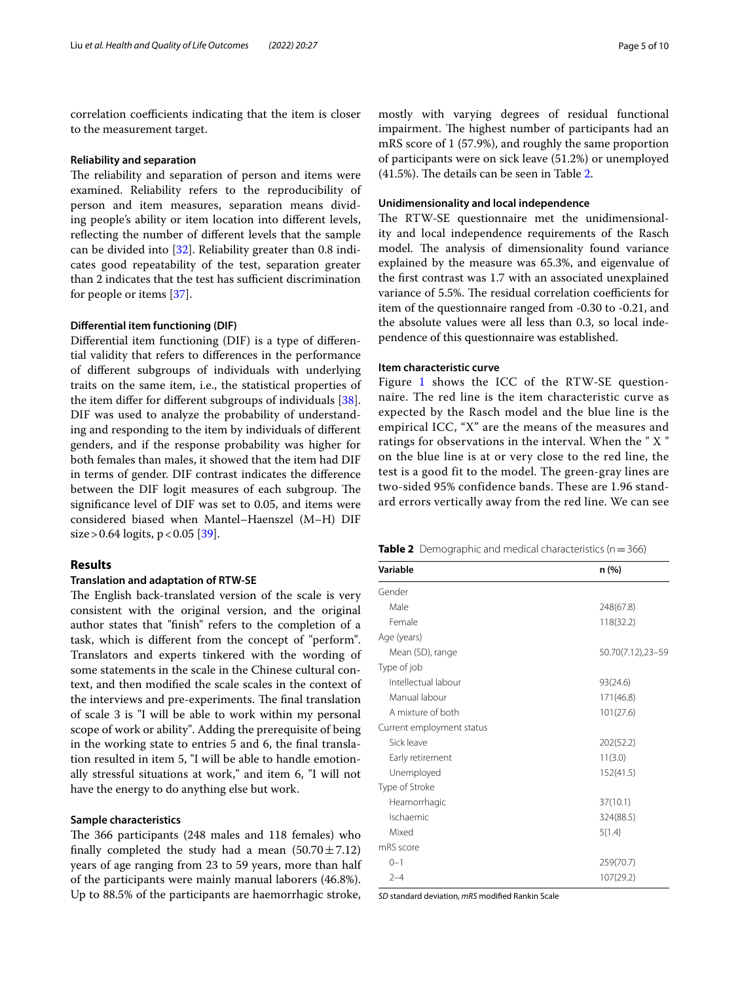correlation coefficients indicating that the item is closer to the measurement target.

## **Reliability and separation**

The reliability and separation of person and items were examined. Reliability refers to the reproducibility of person and item measures, separation means dividing people's ability or item location into diferent levels, refecting the number of diferent levels that the sample can be divided into [[32\]](#page-9-29). Reliability greater than 0.8 indicates good repeatability of the test, separation greater than 2 indicates that the test has sufficient discrimination for people or items [\[37](#page-9-34)].

## **Diferential item functioning (DIF)**

Diferential item functioning (DIF) is a type of diferential validity that refers to diferences in the performance of diferent subgroups of individuals with underlying traits on the same item, i.e., the statistical properties of the item difer for diferent subgroups of individuals [\[38](#page-9-35)]. DIF was used to analyze the probability of understanding and responding to the item by individuals of diferent genders, and if the response probability was higher for both females than males, it showed that the item had DIF in terms of gender. DIF contrast indicates the diference between the DIF logit measures of each subgroup. The signifcance level of DIF was set to 0.05, and items were considered biased when Mantel–Haenszel (M–H) DIF  $size > 0.64$  logits,  $p < 0.05$  [[39\]](#page-9-36).

## **Results**

## **Translation and adaptation of RTW‑SE**

The English back-translated version of the scale is very consistent with the original version, and the original author states that "fnish" refers to the completion of a task, which is diferent from the concept of "perform". Translators and experts tinkered with the wording of some statements in the scale in the Chinese cultural context, and then modifed the scale scales in the context of the interviews and pre-experiments. The final translation of scale 3 is "I will be able to work within my personal scope of work or ability". Adding the prerequisite of being in the working state to entries 5 and 6, the fnal translation resulted in item 5, "I will be able to handle emotionally stressful situations at work," and item 6, "I will not have the energy to do anything else but work.

## **Sample characteristics**

The 366 participants (248 males and 118 females) who finally completed the study had a mean  $(50.70 \pm 7.12)$ years of age ranging from 23 to 59 years, more than half of the participants were mainly manual laborers (46.8%). Up to 88.5% of the participants are haemorrhagic stroke,

mostly with varying degrees of residual functional impairment. The highest number of participants had an mRS score of 1 (57.9%), and roughly the same proportion of participants were on sick leave (51.2%) or unemployed  $(41.5\%)$ . The details can be seen in Table [2](#page-4-0).

## **Unidimensionality and local independence**

The RTW-SE questionnaire met the unidimensionality and local independence requirements of the Rasch model. The analysis of dimensionality found variance explained by the measure was 65.3%, and eigenvalue of the frst contrast was 1.7 with an associated unexplained variance of 5.5%. The residual correlation coefficients for item of the questionnaire ranged from -0.30 to -0.21, and the absolute values were all less than 0.3, so local independence of this questionnaire was established.

## **Item characteristic curve**

Figure [1](#page-5-0) shows the ICC of the RTW-SE questionnaire. The red line is the item characteristic curve as expected by the Rasch model and the blue line is the empirical ICC, "X" are the means of the measures and ratings for observations in the interval. When the " X " on the blue line is at or very close to the red line, the test is a good fit to the model. The green-gray lines are two-sided 95% confidence bands. These are 1.96 standard errors vertically away from the red line. We can see

<span id="page-4-0"></span>

| <b>Table 2</b> Demographic and medical characteristics ( $n = 366$ ) |  |
|----------------------------------------------------------------------|--|

| Variable                  | n(%)              |
|---------------------------|-------------------|
| Gender                    |                   |
| Male                      | 248(67.8)         |
| Female                    | 118(32.2)         |
| Age (years)               |                   |
| Mean (SD), range          | 50.70(7.12),23-59 |
| Type of job               |                   |
| Intellectual labour       | 93(24.6)          |
| Manual labour             | 171(46.8)         |
| A mixture of both         | 101(27.6)         |
| Current employment status |                   |
| Sick leave                | 202(52.2)         |
| Early retirement          | 11(3.0)           |
| Unemployed                | 152(41.5)         |
| Type of Stroke            |                   |
| Heamorrhagic              | 37(10.1)          |
| Ischaemic                 | 324(88.5)         |
| Mixed                     | 5(1.4)            |
| mRS score                 |                   |
| $0 - 1$                   | 259(70.7)         |
| $2 - 4$                   | 107(29.2)         |

*SD* standard deviation*, mRS* modifed Rankin Scale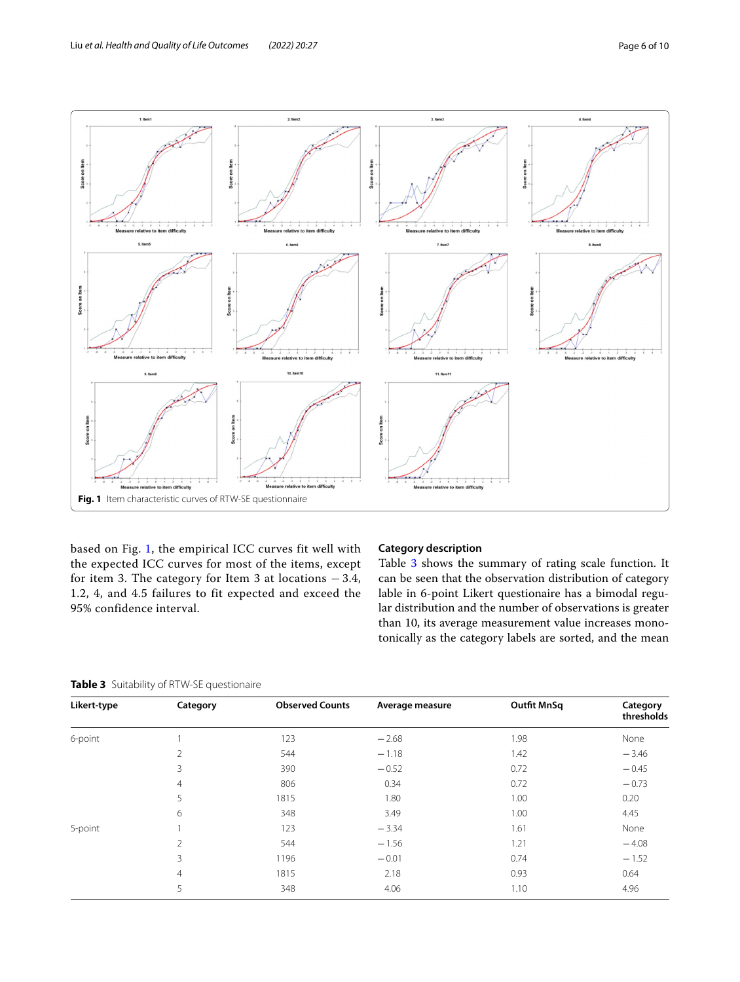

<span id="page-5-0"></span>based on Fig. [1](#page-5-0), the empirical ICC curves fit well with the expected ICC curves for most of the items, except for item 3. The category for Item 3 at locations  $-3.4$ , 1.2, 4, and 4.5 failures to fit expected and exceed the 95% confidence interval.

## **Category description**

Table [3](#page-5-1) shows the summary of rating scale function. It can be seen that the observation distribution of category lable in 6-point Likert questionaire has a bimodal regular distribution and the number of observations is greater than 10, its average measurement value increases monotonically as the category labels are sorted, and the mean

<span id="page-5-1"></span>

|  |  |  | Table 3 Suitability of RTW-SE questionaire |
|--|--|--|--------------------------------------------|
|--|--|--|--------------------------------------------|

| Likert-type | Category       | <b>Observed Counts</b> | Average measure | <b>Outfit MnSq</b> | Category<br>thresholds |
|-------------|----------------|------------------------|-----------------|--------------------|------------------------|
| 6-point     |                | 123                    | $-2.68$         | 1.98               | None                   |
|             | $\overline{2}$ | 544                    | $-1.18$         | 1.42               | $-3.46$                |
|             | 3              | 390                    | $-0.52$         | 0.72               | $-0.45$                |
|             | $\overline{4}$ | 806                    | 0.34            | 0.72               | $-0.73$                |
|             | 5              | 1815                   | 1.80            | 1.00               | 0.20                   |
|             | 6              | 348                    | 3.49            | 1.00               | 4.45                   |
| 5-point     |                | 123                    | $-3.34$         | 1.61               | None                   |
|             | $\mathfrak{D}$ | 544                    | $-1.56$         | 1.21               | $-4.08$                |
|             | 3              | 1196                   | $-0.01$         | 0.74               | $-1.52$                |
|             | $\overline{4}$ | 1815                   | 2.18            | 0.93               | 0.64                   |
|             | 5              | 348                    | 4.06            | 1.10               | 4.96                   |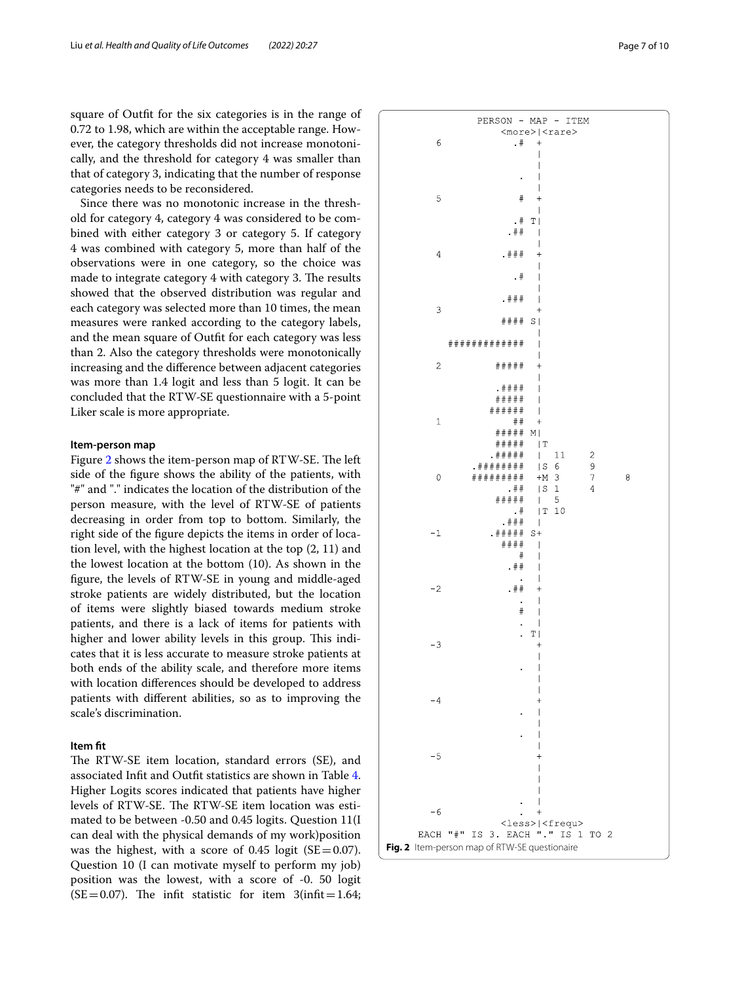square of Outft for the six categories is in the range of 0.72 to 1.98, which are within the acceptable range. However, the category thresholds did not increase monotonically, and the threshold for category 4 was smaller than that of category 3, indicating that the number of response categories needs to be reconsidered.

Since there was no monotonic increase in the threshold for category 4, category 4 was considered to be combined with either category 3 or category 5. If category 4 was combined with category 5, more than half of the observations were in one category, so the choice was made to integrate category 4 with category 3. The results showed that the observed distribution was regular and each category was selected more than 10 times, the mean measures were ranked according to the category labels, and the mean square of Outft for each category was less than 2. Also the category thresholds were monotonically increasing and the diference between adjacent categories was more than 1.4 logit and less than 5 logit. It can be concluded that the RTW-SE questionnaire with a 5-point Liker scale is more appropriate.

## **Item‑person map**

Figure [2](#page-6-0) shows the item-person map of RTW-SE. The left side of the fgure shows the ability of the patients, with "#" and "." indicates the location of the distribution of the person measure, with the level of RTW-SE of patients decreasing in order from top to bottom. Similarly, the right side of the fgure depicts the items in order of location level, with the highest location at the top (2, 11) and the lowest location at the bottom (10). As shown in the fgure, the levels of RTW-SE in young and middle-aged stroke patients are widely distributed, but the location of items were slightly biased towards medium stroke patients, and there is a lack of items for patients with higher and lower ability levels in this group. This indicates that it is less accurate to measure stroke patients at both ends of the ability scale, and therefore more items with location diferences should be developed to address patients with diferent abilities, so as to improving the scale's discrimination.

## **Item ft**

<span id="page-6-0"></span>The RTW-SE item location, standard errors (SE), and associated Inft and Outft statistics are shown in Table [4](#page-7-0). Higher Logits scores indicated that patients have higher levels of RTW-SE. The RTW-SE item location was estimated to be between -0.50 and 0.45 logits. Question 11(I can deal with the physical demands of my work)position was the highest, with a score of 0.45 logit ( $SE = 0.07$ ). Question 10 (I can motivate myself to perform my job) position was the lowest, with a score of -0. 50 logit (SE=0.07). The infit statistic for item  $3$ (infit=1.64;

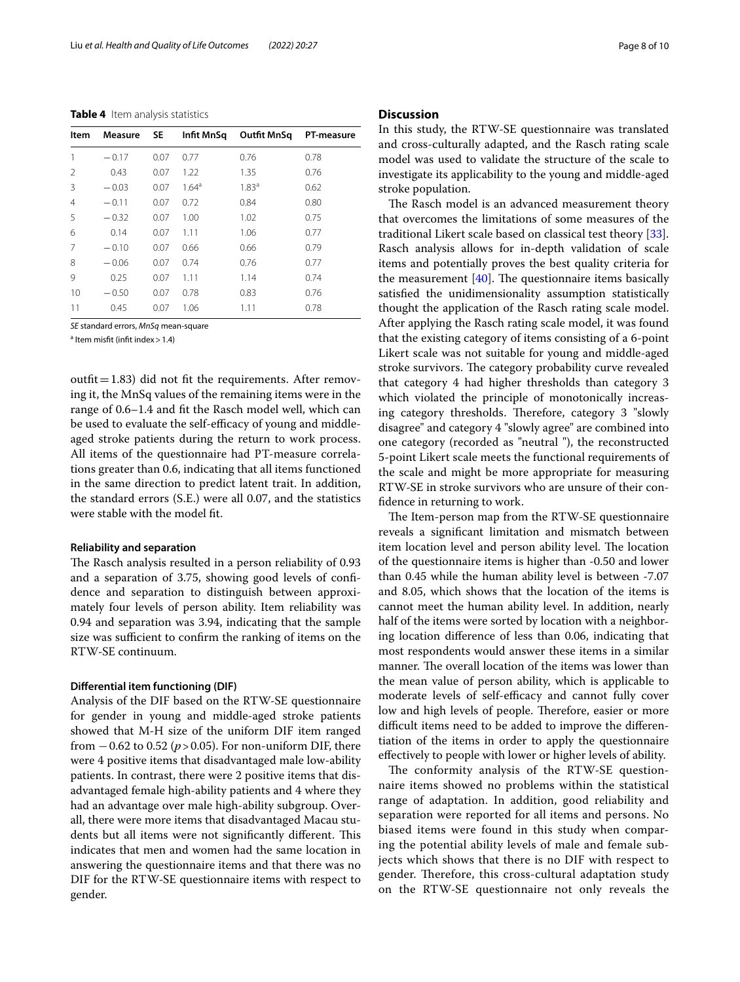<span id="page-7-0"></span>**Table 4** Item analysis statistics

| Item           | <b>Measure</b> | -SE  | Infit MnSq | Outfit MnSa       | PT-measure |
|----------------|----------------|------|------------|-------------------|------------|
| 1              | $-0.17$        | 0.07 | 0.77       | 0.76              | 0.78       |
| $\mathcal{P}$  | 0.43           | 0.07 | 1.22       | 1.35              | 0.76       |
| 3              | $-0.03$        | 0.07 | $1.64^a$   | 1.83 <sup>a</sup> | 0.62       |
| $\overline{4}$ | $-0.11$        | 0.07 | 0.72       | 0.84              | 0.80       |
| 5              | $-0.32$        | 0.07 | 1.00       | 1.02              | 0.75       |
| 6              | 0.14           | 0.07 | 1.11       | 1.06              | 0.77       |
| 7              | $-0.10$        | 0.07 | 0.66       | 0.66              | 0.79       |
| 8              | $-0.06$        | 0.07 | 0.74       | 0.76              | 0.77       |
| 9              | 0.25           | 0.07 | 1.11       | 1.14              | 0.74       |
| 10             | $-0.50$        | 0.07 | 0.78       | 0.83              | 0.76       |
| 11             | 0.45           | 0.07 | 1.06       | 1.11              | 0.78       |
|                |                |      |            |                   |            |

*SE* standard errors, *MnSq* mean-square

<sup>a</sup> Item misfit (infit index > 1.4)

outfit=1.83) did not fit the requirements. After removing it, the MnSq values of the remaining items were in the range of 0.6–1.4 and ft the Rasch model well, which can be used to evaluate the self-efficacy of young and middleaged stroke patients during the return to work process. All items of the questionnaire had PT-measure correlations greater than 0.6, indicating that all items functioned in the same direction to predict latent trait. In addition, the standard errors (S.E.) were all 0.07, and the statistics were stable with the model ft.

#### **Reliability and separation**

The Rasch analysis resulted in a person reliability of 0.93 and a separation of 3.75, showing good levels of confdence and separation to distinguish between approximately four levels of person ability. Item reliability was 0.94 and separation was 3.94, indicating that the sample size was sufficient to confirm the ranking of items on the RTW-SE continuum.

#### **Diferential item functioning (DIF)**

Analysis of the DIF based on the RTW-SE questionnaire for gender in young and middle-aged stroke patients showed that M-H size of the uniform DIF item ranged from  $-0.62$  to 0.52 ( $p > 0.05$ ). For non-uniform DIF, there were 4 positive items that disadvantaged male low-ability patients. In contrast, there were 2 positive items that disadvantaged female high-ability patients and 4 where they had an advantage over male high-ability subgroup. Overall, there were more items that disadvantaged Macau students but all items were not significantly different. This indicates that men and women had the same location in answering the questionnaire items and that there was no DIF for the RTW-SE questionnaire items with respect to gender.

## **Discussion**

In this study, the RTW-SE questionnaire was translated and cross-culturally adapted, and the Rasch rating scale model was used to validate the structure of the scale to investigate its applicability to the young and middle-aged stroke population.

The Rasch model is an advanced measurement theory that overcomes the limitations of some measures of the traditional Likert scale based on classical test theory [\[33](#page-9-30)]. Rasch analysis allows for in-depth validation of scale items and potentially proves the best quality criteria for the measurement  $[40]$  $[40]$ . The questionnaire items basically satisfed the unidimensionality assumption statistically thought the application of the Rasch rating scale model. After applying the Rasch rating scale model, it was found that the existing category of items consisting of a 6-point Likert scale was not suitable for young and middle-aged stroke survivors. The category probability curve revealed that category 4 had higher thresholds than category 3 which violated the principle of monotonically increasing category thresholds. Therefore, category 3 "slowly disagree" and category 4 "slowly agree" are combined into one category (recorded as "neutral "), the reconstructed 5-point Likert scale meets the functional requirements of the scale and might be more appropriate for measuring RTW-SE in stroke survivors who are unsure of their confdence in returning to work.

The Item-person map from the RTW-SE questionnaire reveals a signifcant limitation and mismatch between item location level and person ability level. The location of the questionnaire items is higher than -0.50 and lower than 0.45 while the human ability level is between -7.07 and 8.05, which shows that the location of the items is cannot meet the human ability level. In addition, nearly half of the items were sorted by location with a neighboring location diference of less than 0.06, indicating that most respondents would answer these items in a similar manner. The overall location of the items was lower than the mean value of person ability, which is applicable to moderate levels of self-efficacy and cannot fully cover low and high levels of people. Therefore, easier or more difficult items need to be added to improve the differentiation of the items in order to apply the questionnaire efectively to people with lower or higher levels of ability.

The conformity analysis of the RTW-SE questionnaire items showed no problems within the statistical range of adaptation. In addition, good reliability and separation were reported for all items and persons. No biased items were found in this study when comparing the potential ability levels of male and female subjects which shows that there is no DIF with respect to gender. Therefore, this cross-cultural adaptation study on the RTW-SE questionnaire not only reveals the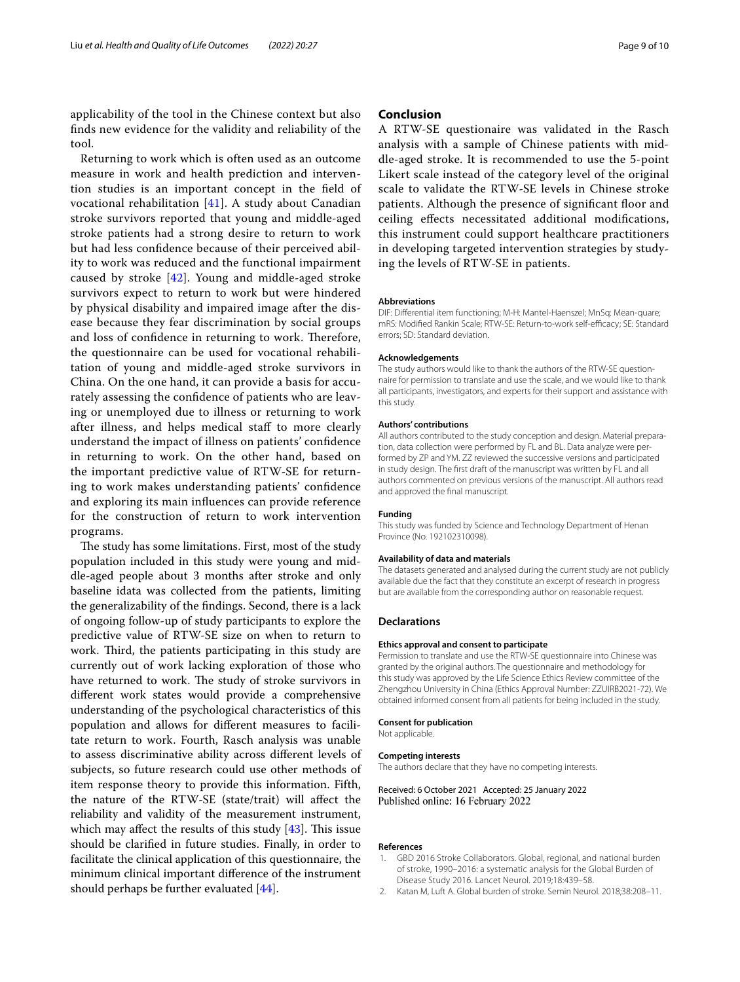applicability of the tool in the Chinese context but also fnds new evidence for the validity and reliability of the tool.

Returning to work which is often used as an outcome measure in work and health prediction and intervention studies is an important concept in the feld of vocational rehabilitation [\[41](#page-9-38)]. A study about Canadian stroke survivors reported that young and middle-aged stroke patients had a strong desire to return to work but had less confdence because of their perceived ability to work was reduced and the functional impairment caused by stroke  $[42]$  $[42]$ . Young and middle-aged stroke survivors expect to return to work but were hindered by physical disability and impaired image after the disease because they fear discrimination by social groups and loss of confidence in returning to work. Therefore, the questionnaire can be used for vocational rehabilitation of young and middle-aged stroke survivors in China. On the one hand, it can provide a basis for accurately assessing the confdence of patients who are leaving or unemployed due to illness or returning to work after illness, and helps medical staf to more clearly understand the impact of illness on patients' confdence in returning to work. On the other hand, based on the important predictive value of RTW-SE for returning to work makes understanding patients' confdence and exploring its main infuences can provide reference for the construction of return to work intervention programs.

The study has some limitations. First, most of the study population included in this study were young and middle-aged people about 3 months after stroke and only baseline idata was collected from the patients, limiting the generalizability of the fndings. Second, there is a lack of ongoing follow-up of study participants to explore the predictive value of RTW-SE size on when to return to work. Third, the patients participating in this study are currently out of work lacking exploration of those who have returned to work. The study of stroke survivors in diferent work states would provide a comprehensive understanding of the psychological characteristics of this population and allows for diferent measures to facilitate return to work. Fourth, Rasch analysis was unable to assess discriminative ability across diferent levels of subjects, so future research could use other methods of item response theory to provide this information. Fifth, the nature of the RTW-SE (state/trait) will afect the reliability and validity of the measurement instrument, which may affect the results of this study  $[43]$ . This issue should be clarifed in future studies. Finally, in order to facilitate the clinical application of this questionnaire, the minimum clinical important diference of the instrument should perhaps be further evaluated [\[44](#page-9-41)].

## **Conclusion**

A RTW-SE questionaire was validated in the Rasch analysis with a sample of Chinese patients with middle-aged stroke. It is recommended to use the 5-point Likert scale instead of the category level of the original scale to validate the RTW-SE levels in Chinese stroke patients. Although the presence of significant floor and ceiling efects necessitated additional modifcations, this instrument could support healthcare practitioners in developing targeted intervention strategies by studying the levels of RTW-SE in patients.

#### **Abbreviations**

DIF: Diferential item functioning; M-H: Mantel-Haenszel; MnSq: Mean-quare; mRS: Modified Rankin Scale; RTW-SE: Return-to-work self-efficacy; SE: Standard errors; SD: Standard deviation.

#### **Acknowledgements**

The study authors would like to thank the authors of the RTW-SE questionnaire for permission to translate and use the scale, and we would like to thank all participants, investigators, and experts for their support and assistance with this study.

#### **Authors' contributions**

All authors contributed to the study conception and design. Material preparation, data collection were performed by FL and BL. Data analyze were performed by ZP and YM. ZZ reviewed the successive versions and participated in study design. The frst draft of the manuscript was written by FL and all authors commented on previous versions of the manuscript. All authors read and approved the fnal manuscript.

#### **Funding**

This study was funded by Science and Technology Department of Henan Province (No. 192102310098).

## **Availability of data and materials**

The datasets generated and analysed during the current study are not publicly available due the fact that they constitute an excerpt of research in progress but are available from the corresponding author on reasonable request.

#### **Declarations**

#### **Ethics approval and consent to participate**

Permission to translate and use the RTW-SE questionnaire into Chinese was granted by the original authors. The questionnaire and methodology for this study was approved by the Life Science Ethics Review committee of the Zhengzhou University in China (Ethics Approval Number: ZZUIRB2021-72). We obtained informed consent from all patients for being included in the study.

#### **Consent for publication**

Not applicable.

#### **Competing interests**

The authors declare that they have no competing interests.

Received: 6 October 2021 Accepted: 25 January 2022 Published online: 16 February 2022

#### **References**

- <span id="page-8-0"></span>1. GBD 2016 Stroke Collaborators. Global, regional, and national burden of stroke, 1990–2016: a systematic analysis for the Global Burden of Disease Study 2016. Lancet Neurol. 2019;18:439–58.
- <span id="page-8-1"></span>2. Katan M, Luft A. Global burden of stroke. Semin Neurol. 2018;38:208–11.